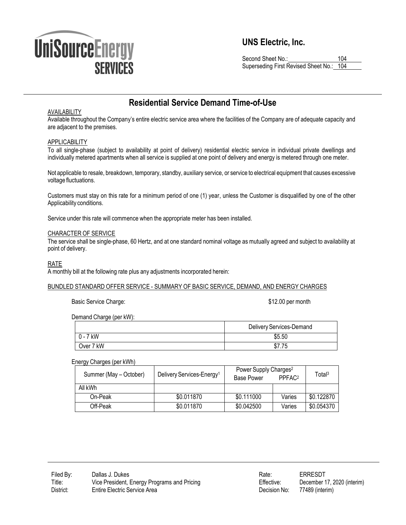

# **UNS Electric, Inc.**

Second Sheet No.: 104 Superseding First Revised Sheet No.: 104

# **Residential Service Demand Time-of-Use**

## AVAILABILITY

Available throughout the Company's entire electric service area where the facilities of the Company are of adequate capacity and are adjacent to the premises.

# **APPLICABILITY**

To all single-phase (subject to availability at point of delivery) residential electric service in individual private dwellings and individually metered apartments when all service is supplied at one point of delivery and energy is metered through one meter.

Not applicable to resale, breakdown, temporary, standby, auxiliary service, or service to electrical equipment that causes excessive voltage fluctuations.

Customers must stay on this rate for a minimum period of one (1) year, unless the Customer is disqualified by one of the other Applicability conditions.

Service under this rate will commence when the appropriate meter has been installed.

#### CHARACTER OF SERVICE

The service shall be single-phase, 60 Hertz, and at one standard nominal voltage as mutually agreed and subject to availability at point of delivery.

## RATE

A monthly bill at the following rate plus any adjustments incorporated herein:

#### BUNDLED STANDARD OFFER SERVICE - SUMMARY OF BASIC SERVICE, DEMAND, AND ENERGY CHARGES

Basic Service Charge:  $$12.00$  per month

Demand Charge (per kW):

|            | Delivery Services-Demand |
|------------|--------------------------|
| $0 - 7$ kW | \$5.50                   |
| Over 7 kW  | ن ، ، ، ن                |

#### Energy Charges (per kWh)

| Summer (May - October) | Delivery Services-Energy <sup>1</sup> | Power Supply Charges <sup>2</sup><br><b>Base Power</b> | PPFAC <sub>2</sub> | Total <sup>3</sup> |
|------------------------|---------------------------------------|--------------------------------------------------------|--------------------|--------------------|
| All kWh                |                                       |                                                        |                    |                    |
| On-Peak                | \$0.011870                            | \$0.111000                                             | Varies             | \$0.122870         |
| Off-Peak               | \$0.011870                            | \$0.042500                                             | Varies             | \$0.054370         |

| Rate:        | ERRESDT                     |
|--------------|-----------------------------|
| Effective:   | December 17, 2020 (interim) |
| Decision No: | 77489 (interim)             |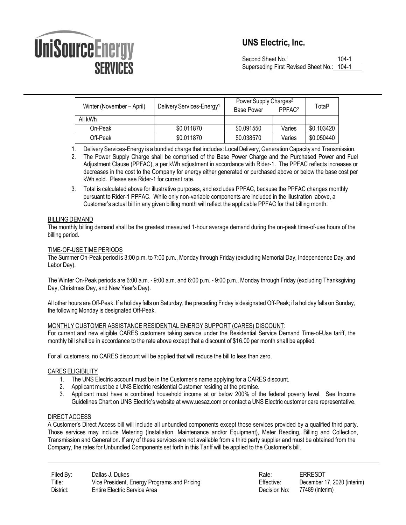# **ÚniSourceEnergy SERVICES**

# **UNS Electric, Inc.**

Second Sheet No.: 104-1 Superseding First Revised Sheet No.: 104-1

| Winter (November – April) | Delivery Services-Energy <sup>1</sup> | Power Supply Charges <sup>2</sup><br><b>Base Power</b> | PPFAC <sub>2</sub> | Total <sup>3</sup> |
|---------------------------|---------------------------------------|--------------------------------------------------------|--------------------|--------------------|
| All kWh                   |                                       |                                                        |                    |                    |
| On-Peak                   | \$0.011870                            | \$0.091550                                             | Varies             | \$0.103420         |
| Off-Peak                  | \$0.011870                            | \$0.038570                                             | Varies             | \$0.050440         |

1. Delivery Services-Energy is a bundled charge that includes: Local Delivery,Generation Capacity and Transmission.

2. The Power Supply Charge shall be comprised of the Base Power Charge and the Purchased Power and Fuel Adjustment Clause (PPFAC), a per kWh adjustment in accordance with Rider-1. The PPFAC reflects increases or decreases in the cost to the Company for energy either generated or purchased above or below the base cost per kWh sold. Please see Rider-1 for current rate.

3. Total is calculated above for illustrative purposes, and excludes PPFAC, because the PPFAC changes monthly pursuant to Rider-1 PPFAC. While only non-variable components are included in the illustration above, a Customer's actual bill in any given billing month will reflect the applicable PPFAC for that billing month.

# **BILLING DEMAND**

The monthly billing demand shall be the greatest measured 1-hour average demand during the on-peak time-of-use hours of the billing period.

# TIME-OF-USE TIME PERIODS

The Summer On-Peak period is 3:00 p.m. to 7:00 p.m., Monday through Friday (excluding Memorial Day, Independence Day, and Labor Day).

The Winter On-Peak periods are 6:00 a.m. - 9:00 a.m. and 6:00 p.m. - 9:00 p.m., Monday through Friday (excluding Thanksgiving Day, Christmas Day, and New Year's Day).

All other hours areOff-Peak. If a holiday falls on Saturday, the preceding Friday is designated Off-Peak; if a holiday falls on Sunday, the following Monday is designated Off-Peak.

# MONTHLY CUSTOMER ASSISTANCE RESIDENTIAL ENERGY SUPPORT (CARES) DISCOUNT:

For current and new eligible CARES customers taking service under the Residential Service Demand Time-of-Use tariff, the monthly bill shall be in accordance to the rate above except that a discount of \$16.00 per month shall be applied.

For all customers, no CARES discount will be applied that will reduce the bill to less than zero.

# CARES ELIGIBILITY

- 1. The UNS Electric account must be in the Customer's name applying for a CARES discount.
- 2. Applicant must be a UNS Electric residential Customer residing at the premise.
- 3. Applicant must have a combined household income at or below 200% of the federal poverty level. See Income Guidelines Chart on UNS Electric's website at [www.uesaz.com](http://www.uesaz.com/) or contact a UNS Electric customer care representative.

# DIRECT ACCESS

A Customer's Direct Access bill will include all unbundled components except those services provided by a qualified third party. Those services may include Metering (Installation, Maintenance and/or Equipment), Meter Reading, Billing and Collection, Transmission and Generation. If any of these services are not available from a third party supplier and must be obtained from the Company, the rates for Unbundled Components set forth in this Tariff will be applied to the Customer's bill.

Filed By: Title: District: Dallas J. Dukes Vice President, Energy Programs and Pricing Entire Electric Service Area

| Rate:        | ERRESDT                     |
|--------------|-----------------------------|
| Effective:   | December 17, 2020 (interim) |
| Decision No: | 77489 (interim)             |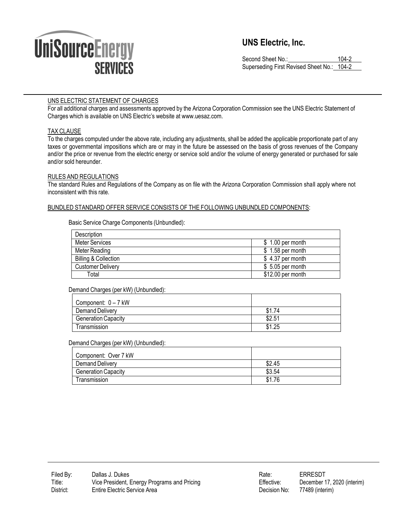

# **UNS Electric, Inc.**

Second Sheet No.: 104-2 Superseding First Revised Sheet No.: 104-2

# UNS ELECTRIC STATEMENT OF CHARGES

For all additional charges and assessments approved by the Arizona Corporation Commission see the UNS Electric Statement of Charges which is available on UNS Electric's website at [www.uesaz.com.](http://www.uesaz.com/)

# TAX CLAUSE

To the charges computed under the above rate, including any adjustments, shall be added the applicable proportionate part of any taxes or governmental impositions which are or may in the future be assessed on the basis of gross revenues of the Company and/or the price or revenue from the electric energy or service sold and/or the volume of energy generated or purchased for sale and/or sold hereunder.

# RULES AND REGULATIONS

The standard Rules and Regulations of the Company as on file with the Arizona Corporation Commission shall apply where not inconsistent with this rate.

# BUNDLED STANDARD OFFER SERVICE CONSISTS OF THE FOLLOWING UNBUNDLED COMPONENTS:

Basic Service Charge Components (Unbundled):

| Description                     |                   |
|---------------------------------|-------------------|
| Meter Services                  | \$1.00 per month  |
| Meter Reading                   | $$1.58$ per month |
| <b>Billing &amp; Collection</b> | $$4.37$ per month |
| <b>Customer Delivery</b>        | $$5.05$ per month |
| Total                           | \$12.00 per month |

# Demand Charges (per kW) (Unbundled):

| Component: 0 - 7 kW        |        |
|----------------------------|--------|
| Demand Delivery            | \$1.74 |
| <b>Generation Capacity</b> | \$2.51 |
| Transmission               | \$1.25 |

# Demand Charges (per kW) (Unbundled):

| Component: Over 7 kW       |        |
|----------------------------|--------|
| Demand Delivery            | \$2.45 |
| <b>Generation Capacity</b> | \$3.54 |
| Transmission               | \$1.76 |

| Rate:        | ERRESDT                     |
|--------------|-----------------------------|
| Effective:   | December 17, 2020 (interim) |
| Decision No: | 77489 (interim)             |